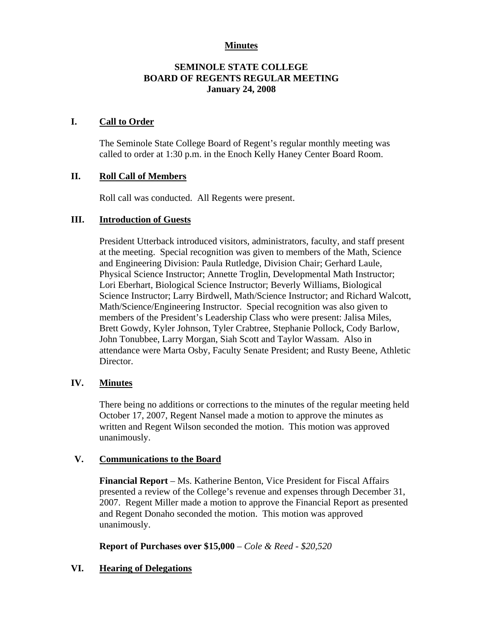## **Minutes**

## **SEMINOLE STATE COLLEGE BOARD OF REGENTS REGULAR MEETING January 24, 2008**

## **I. Call to Order**

The Seminole State College Board of Regent's regular monthly meeting was called to order at 1:30 p.m. in the Enoch Kelly Haney Center Board Room.

## **II. Roll Call of Members**

Roll call was conducted. All Regents were present.

## **III. Introduction of Guests**

President Utterback introduced visitors, administrators, faculty, and staff present at the meeting. Special recognition was given to members of the Math, Science and Engineering Division: Paula Rutledge, Division Chair; Gerhard Laule, Physical Science Instructor; Annette Troglin, Developmental Math Instructor; Lori Eberhart, Biological Science Instructor; Beverly Williams, Biological Science Instructor; Larry Birdwell, Math/Science Instructor; and Richard Walcott, Math/Science/Engineering Instructor. Special recognition was also given to members of the President's Leadership Class who were present: Jalisa Miles, Brett Gowdy, Kyler Johnson, Tyler Crabtree, Stephanie Pollock, Cody Barlow, John Tonubbee, Larry Morgan, Siah Scott and Taylor Wassam. Also in attendance were Marta Osby, Faculty Senate President; and Rusty Beene, Athletic Director.

#### **IV. Minutes**

There being no additions or corrections to the minutes of the regular meeting held October 17, 2007, Regent Nansel made a motion to approve the minutes as written and Regent Wilson seconded the motion. This motion was approved unanimously.

#### **V. Communications to the Board**

**Financial Report** – Ms. Katherine Benton, Vice President for Fiscal Affairs presented a review of the College's revenue and expenses through December 31, 2007. Regent Miller made a motion to approve the Financial Report as presented and Regent Donaho seconded the motion. This motion was approved unanimously.

#### **Report of Purchases over \$15,000** – *Cole & Reed - \$20,520*

# **VI. Hearing of Delegations**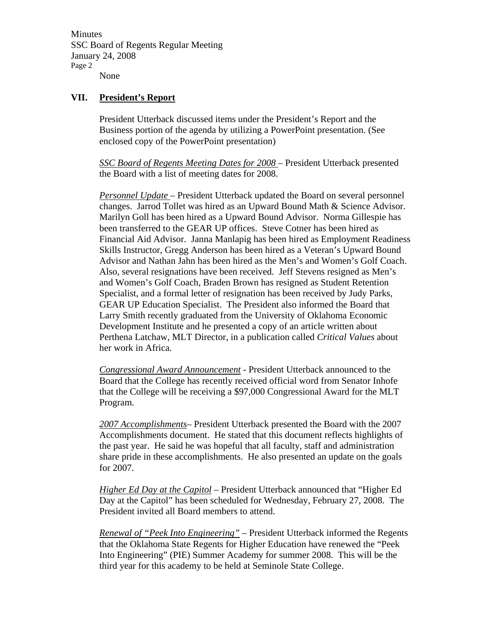Minutes SSC Board of Regents Regular Meeting January 24, 2008 Page 2 None

### **VII. President's Report**

President Utterback discussed items under the President's Report and the Business portion of the agenda by utilizing a PowerPoint presentation. (See enclosed copy of the PowerPoint presentation)

*SSC Board of Regents Meeting Dates for 2008* – President Utterback presented the Board with a list of meeting dates for 2008.

*Personnel Update* – President Utterback updated the Board on several personnel changes. Jarrod Tollet was hired as an Upward Bound Math & Science Advisor. Marilyn Goll has been hired as a Upward Bound Advisor. Norma Gillespie has been transferred to the GEAR UP offices. Steve Cotner has been hired as Financial Aid Advisor. Janna Manlapig has been hired as Employment Readiness Skills Instructor, Gregg Anderson has been hired as a Veteran's Upward Bound Advisor and Nathan Jahn has been hired as the Men's and Women's Golf Coach. Also, several resignations have been received. Jeff Stevens resigned as Men's and Women's Golf Coach, Braden Brown has resigned as Student Retention Specialist, and a formal letter of resignation has been received by Judy Parks, GEAR UP Education Specialist. The President also informed the Board that Larry Smith recently graduated from the University of Oklahoma Economic Development Institute and he presented a copy of an article written about Perthena Latchaw, MLT Director, in a publication called *Critical Values* about her work in Africa.

*Congressional Award Announcement* - President Utterback announced to the Board that the College has recently received official word from Senator Inhofe that the College will be receiving a \$97,000 Congressional Award for the MLT Program.

*2007 Accomplishments*– President Utterback presented the Board with the 2007 Accomplishments document. He stated that this document reflects highlights of the past year. He said he was hopeful that all faculty, staff and administration share pride in these accomplishments. He also presented an update on the goals for 2007.

*Higher Ed Day at the Capitol* – President Utterback announced that "Higher Ed Day at the Capitol" has been scheduled for Wednesday, February 27, 2008. The President invited all Board members to attend.

*Renewal of "Peek Into Engineering"* – President Utterback informed the Regents that the Oklahoma State Regents for Higher Education have renewed the "Peek Into Engineering" (PIE) Summer Academy for summer 2008. This will be the third year for this academy to be held at Seminole State College.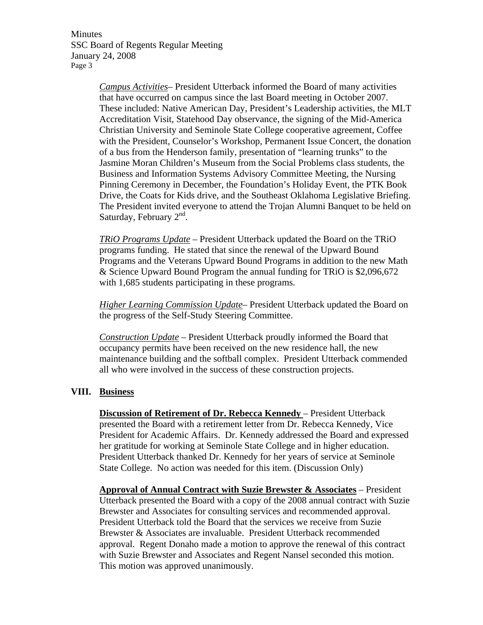Minutes SSC Board of Regents Regular Meeting January 24, 2008 Page 3

> *Campus Activities*– President Utterback informed the Board of many activities that have occurred on campus since the last Board meeting in October 2007. These included: Native American Day, President's Leadership activities, the MLT Accreditation Visit, Statehood Day observance, the signing of the Mid-America Christian University and Seminole State College cooperative agreement, Coffee with the President, Counselor's Workshop, Permanent Issue Concert, the donation of a bus from the Henderson family, presentation of "learning trunks" to the Jasmine Moran Children's Museum from the Social Problems class students, the Business and Information Systems Advisory Committee Meeting, the Nursing Pinning Ceremony in December, the Foundation's Holiday Event, the PTK Book Drive, the Coats for Kids drive, and the Southeast Oklahoma Legislative Briefing. The President invited everyone to attend the Trojan Alumni Banquet to be held on Saturday, February  $2<sup>nd</sup>$ .

*TRiO Programs Update* – President Utterback updated the Board on the TRiO programs funding. He stated that since the renewal of the Upward Bound Programs and the Veterans Upward Bound Programs in addition to the new Math & Science Upward Bound Program the annual funding for TRiO is \$2,096,672 with 1,685 students participating in these programs.

*Higher Learning Commission Update*– President Utterback updated the Board on the progress of the Self-Study Steering Committee.

*Construction Update* – President Utterback proudly informed the Board that occupancy permits have been received on the new residence hall, the new maintenance building and the softball complex. President Utterback commended all who were involved in the success of these construction projects.

# **VIII. Business**

**Discussion of Retirement of Dr. Rebecca Kennedy** – President Utterback presented the Board with a retirement letter from Dr. Rebecca Kennedy, Vice President for Academic Affairs. Dr. Kennedy addressed the Board and expressed her gratitude for working at Seminole State College and in higher education. President Utterback thanked Dr. Kennedy for her years of service at Seminole State College. No action was needed for this item. (Discussion Only)

**Approval of Annual Contract with Suzie Brewster & Associates** – President Utterback presented the Board with a copy of the 2008 annual contract with Suzie Brewster and Associates for consulting services and recommended approval. President Utterback told the Board that the services we receive from Suzie Brewster & Associates are invaluable. President Utterback recommended approval. Regent Donaho made a motion to approve the renewal of this contract with Suzie Brewster and Associates and Regent Nansel seconded this motion. This motion was approved unanimously.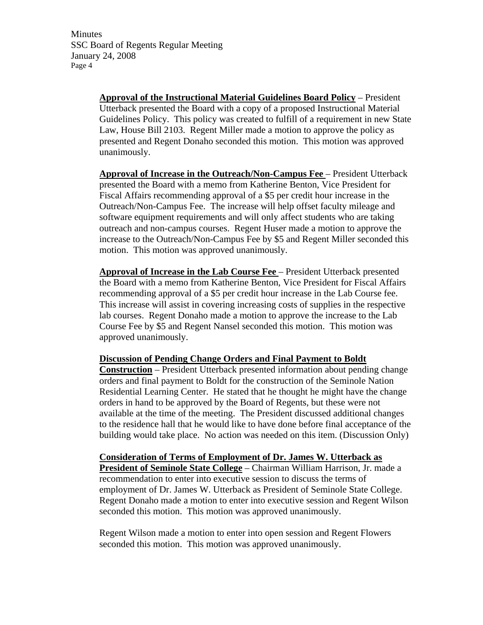Minutes SSC Board of Regents Regular Meeting January 24, 2008 Page 4

> **Approval of the Instructional Material Guidelines Board Policy** – President Utterback presented the Board with a copy of a proposed Instructional Material Guidelines Policy. This policy was created to fulfill of a requirement in new State Law, House Bill 2103. Regent Miller made a motion to approve the policy as presented and Regent Donaho seconded this motion. This motion was approved unanimously.

> **Approval of Increase in the Outreach/Non-Campus Fee** – President Utterback presented the Board with a memo from Katherine Benton, Vice President for Fiscal Affairs recommending approval of a \$5 per credit hour increase in the Outreach/Non-Campus Fee. The increase will help offset faculty mileage and software equipment requirements and will only affect students who are taking outreach and non-campus courses. Regent Huser made a motion to approve the increase to the Outreach/Non-Campus Fee by \$5 and Regent Miller seconded this motion. This motion was approved unanimously.

**Approval of Increase in the Lab Course Fee** – President Utterback presented the Board with a memo from Katherine Benton, Vice President for Fiscal Affairs recommending approval of a \$5 per credit hour increase in the Lab Course fee. This increase will assist in covering increasing costs of supplies in the respective lab courses. Regent Donaho made a motion to approve the increase to the Lab Course Fee by \$5 and Regent Nansel seconded this motion. This motion was approved unanimously.

**Discussion of Pending Change Orders and Final Payment to Boldt** 

**Construction** – President Utterback presented information about pending change orders and final payment to Boldt for the construction of the Seminole Nation Residential Learning Center. He stated that he thought he might have the change orders in hand to be approved by the Board of Regents, but these were not available at the time of the meeting. The President discussed additional changes to the residence hall that he would like to have done before final acceptance of the building would take place. No action was needed on this item. (Discussion Only)

**Consideration of Terms of Employment of Dr. James W. Utterback as President of Seminole State College** – Chairman William Harrison, Jr. made a recommendation to enter into executive session to discuss the terms of employment of Dr. James W. Utterback as President of Seminole State College. Regent Donaho made a motion to enter into executive session and Regent Wilson seconded this motion. This motion was approved unanimously.

Regent Wilson made a motion to enter into open session and Regent Flowers seconded this motion. This motion was approved unanimously.